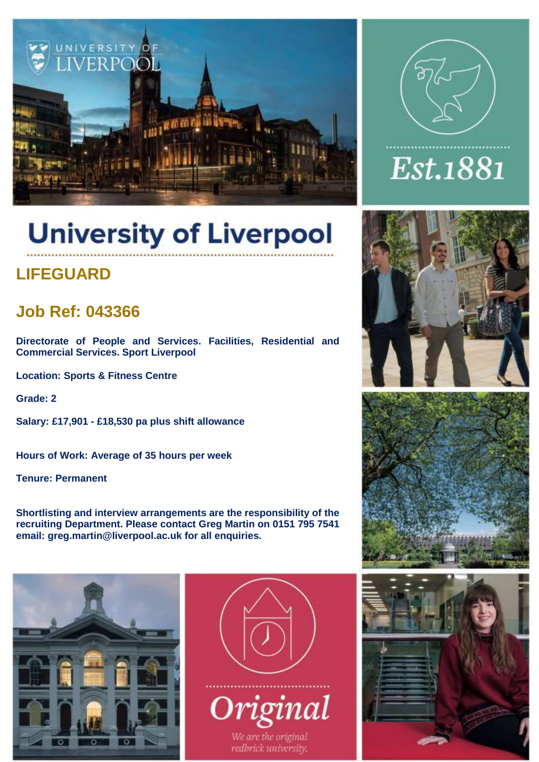

# Est.1881

# **University of Liverpool**

# **LIFEGUARD**

# **Job Ref: 043366**

**Directorate of People and Services. Facilities, Residential and Commercial Services. Sport Liverpool**

**Location: Sports & Fitness Centre**

**Grade: 2**

**Salary: £17,901 - £18,530 pa plus shift allowance** 

**Hours of Work: Average of 35 hours per week**

**Tenure: Permanent**

**Shortlisting and interview arrangements are the responsibility of the recruiting Department. Please contact Greg Martin on 0151 795 7541 email: [greg.martin@liverpool.ac.uk](mailto:greg.martin@liverpool.ac.uk) for all enquiries.**









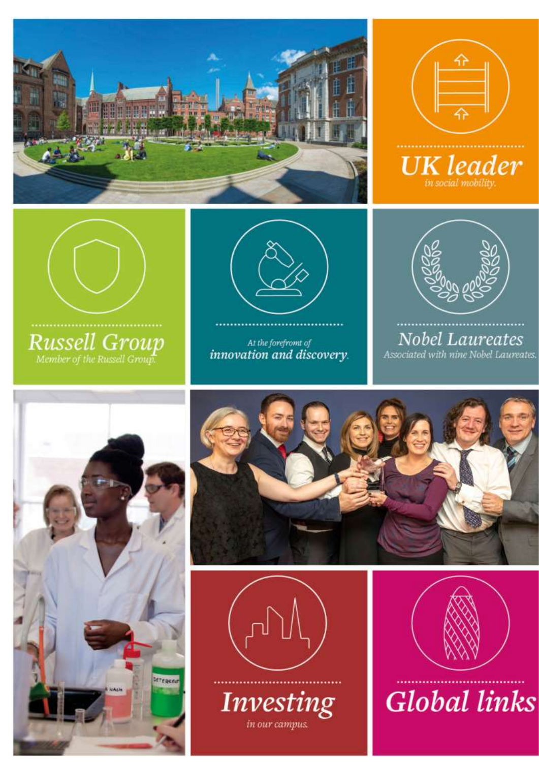









At the forefromt of<br>innovation and discovery.



**Nobel Laureates** Associated with nine Nobel Laureates.







**Investing** 

in our campus.



**Global links**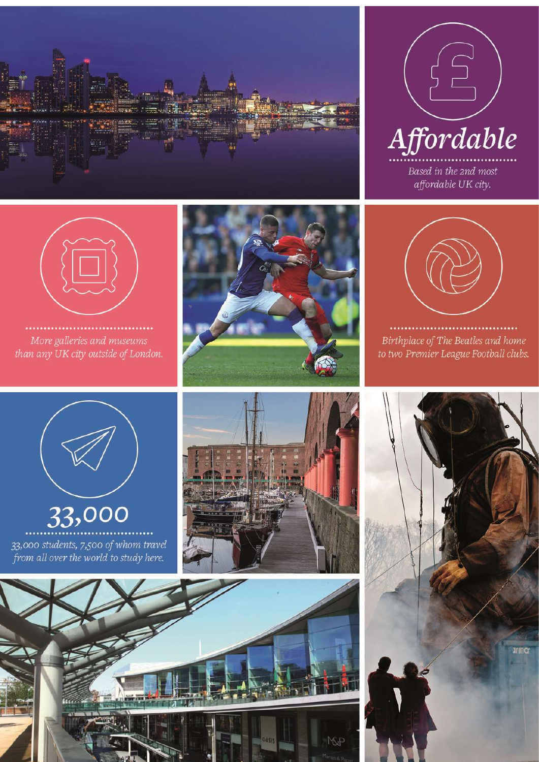





More galleries and museums than any UK city outside of London.





Birthplace of The Beatles and home to two Premier League Football clubs.



33,000 33,000 students, 7,500 of whom travel<br>from all over the world to study here.





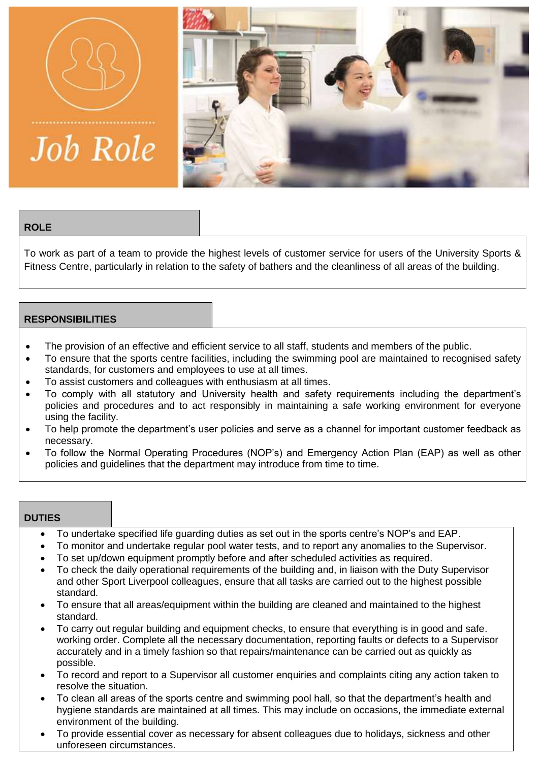

**Job Role** 



# **ROLE**

To work as part of a team to provide the highest levels of customer service for users of the University Sports & Fitness Centre, particularly in relation to the safety of bathers and the cleanliness of all areas of the building.

# **RESPONSIBILITIES**

- The provision of an effective and efficient service to all staff, students and members of the public.
- To ensure that the sports centre facilities, including the swimming pool are maintained to recognised safety standards, for customers and employees to use at all times.
- To assist customers and colleagues with enthusiasm at all times.
- To comply with all statutory and University health and safety requirements including the department's policies and procedures and to act responsibly in maintaining a safe working environment for everyone using the facility.
- To help promote the department's user policies and serve as a channel for important customer feedback as necessary.
- To follow the Normal Operating Procedures (NOP's) and Emergency Action Plan (EAP) as well as other policies and guidelines that the department may introduce from time to time.

### **DUTIES**

- To undertake specified life guarding duties as set out in the sports centre's NOP's and EAP.
- To monitor and undertake regular pool water tests, and to report any anomalies to the Supervisor.
- To set up/down equipment promptly before and after scheduled activities as required.
- To check the daily operational requirements of the building and, in liaison with the Duty Supervisor and other Sport Liverpool colleagues, ensure that all tasks are carried out to the highest possible standard.
- To ensure that all areas/equipment within the building are cleaned and maintained to the highest standard.
- To carry out regular building and equipment checks, to ensure that everything is in good and safe. working order. Complete all the necessary documentation, reporting faults or defects to a Supervisor accurately and in a timely fashion so that repairs/maintenance can be carried out as quickly as possible.
- To record and report to a Supervisor all customer enquiries and complaints citing any action taken to resolve the situation.
- To clean all areas of the sports centre and swimming pool hall, so that the department's health and hygiene standards are maintained at all times. This may include on occasions, the immediate external environment of the building.
- To provide essential cover as necessary for absent colleagues due to holidays, sickness and other unforeseen circumstances.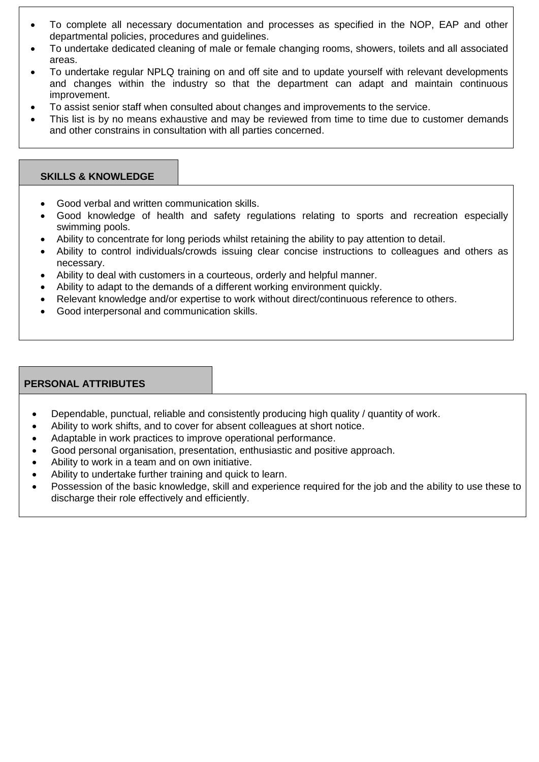- To complete all necessary documentation and processes as specified in the NOP, EAP and other departmental policies, procedures and guidelines.
- To undertake dedicated cleaning of male or female changing rooms, showers, toilets and all associated areas.
- To undertake regular NPLQ training on and off site and to update yourself with relevant developments and changes within the industry so that the department can adapt and maintain continuous improvement.
- To assist senior staff when consulted about changes and improvements to the service.
- This list is by no means exhaustive and may be reviewed from time to time due to customer demands and other constrains in consultation with all parties concerned.

# **SKILLS & KNOWLEDGE**

- Good verbal and written communication skills.
- Good knowledge of health and safety regulations relating to sports and recreation especially swimming pools.
- Ability to concentrate for long periods whilst retaining the ability to pay attention to detail.
- Ability to control individuals/crowds issuing clear concise instructions to colleagues and others as necessary.
- Ability to deal with customers in a courteous, orderly and helpful manner.
- Ability to adapt to the demands of a different working environment quickly.
- Relevant knowledge and/or expertise to work without direct/continuous reference to others.
- Good interpersonal and communication skills.

# **PERSONAL ATTRIBUTES**

- Dependable, punctual, reliable and consistently producing high quality / quantity of work.
- Ability to work shifts, and to cover for absent colleagues at short notice.
- Adaptable in work practices to improve operational performance.
- Good personal organisation, presentation, enthusiastic and positive approach.
- Ability to work in a team and on own initiative.
- Ability to undertake further training and quick to learn.
- Possession of the basic knowledge, skill and experience required for the job and the ability to use these to discharge their role effectively and efficiently.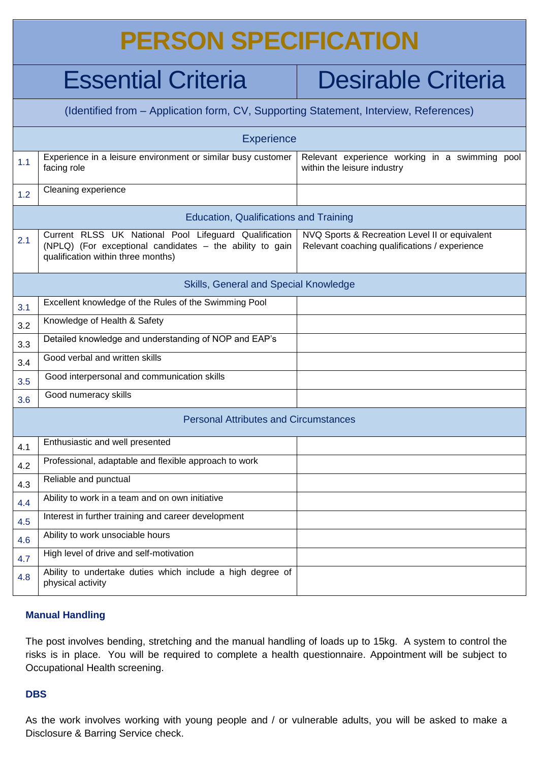# **PERSON SPECIFICATION**

# Essential Criteria | Desirable Criteria

| (Identified from – Application form, CV, Supporting Statement, Interview, References) |                                                                                                                                                         |                                                                                                 |
|---------------------------------------------------------------------------------------|---------------------------------------------------------------------------------------------------------------------------------------------------------|-------------------------------------------------------------------------------------------------|
| <b>Experience</b>                                                                     |                                                                                                                                                         |                                                                                                 |
| 1.1                                                                                   | Experience in a leisure environment or similar busy customer<br>facing role                                                                             | Relevant experience working in a swimming pool<br>within the leisure industry                   |
| 1.2                                                                                   | Cleaning experience                                                                                                                                     |                                                                                                 |
| <b>Education, Qualifications and Training</b>                                         |                                                                                                                                                         |                                                                                                 |
| 2.1                                                                                   | Current RLSS UK National Pool Lifeguard Qualification<br>(NPLQ) (For exceptional candidates - the ability to gain<br>qualification within three months) | NVQ Sports & Recreation Level II or equivalent<br>Relevant coaching qualifications / experience |
| Skills, General and Special Knowledge                                                 |                                                                                                                                                         |                                                                                                 |
| 3.1                                                                                   | Excellent knowledge of the Rules of the Swimming Pool                                                                                                   |                                                                                                 |
| 3.2                                                                                   | Knowledge of Health & Safety                                                                                                                            |                                                                                                 |
| 3.3                                                                                   | Detailed knowledge and understanding of NOP and EAP's                                                                                                   |                                                                                                 |
| 3.4                                                                                   | Good verbal and written skills                                                                                                                          |                                                                                                 |
| 3.5                                                                                   | Good interpersonal and communication skills                                                                                                             |                                                                                                 |
| 3.6                                                                                   | Good numeracy skills                                                                                                                                    |                                                                                                 |
| <b>Personal Attributes and Circumstances</b>                                          |                                                                                                                                                         |                                                                                                 |
| 4.1                                                                                   | Enthusiastic and well presented                                                                                                                         |                                                                                                 |
| 4.2                                                                                   | Professional, adaptable and flexible approach to work                                                                                                   |                                                                                                 |
| 4.3                                                                                   | Reliable and punctual                                                                                                                                   |                                                                                                 |
| 4.4                                                                                   | Ability to work in a team and on own initiative                                                                                                         |                                                                                                 |
| 4.5                                                                                   | Interest in further training and career development                                                                                                     |                                                                                                 |
| 4.6                                                                                   | Ability to work unsociable hours                                                                                                                        |                                                                                                 |
| 4.7                                                                                   | High level of drive and self-motivation                                                                                                                 |                                                                                                 |
| 4.8                                                                                   | Ability to undertake duties which include a high degree of<br>physical activity                                                                         |                                                                                                 |

# **Manual Handling**

The post involves bending, stretching and the manual handling of loads up to 15kg. A system to control the risks is in place. You will be required to complete a health questionnaire. Appointment will be subject to Occupational Health screening.

### **DBS**

As the work involves working with young people and / or vulnerable adults, you will be asked to make a Disclosure & Barring Service check.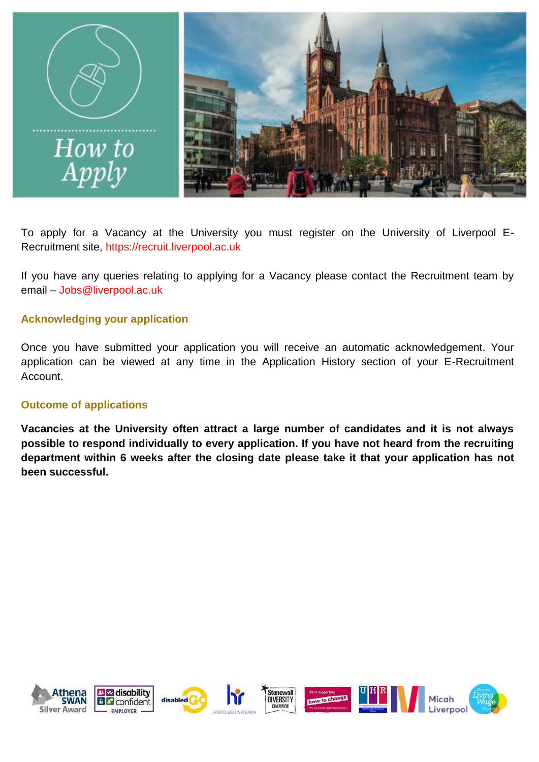

To apply for a Vacancy at the University you must register on the University of Liverpool E-Recruitment site, [https://recruit.liverpool.ac.uk](https://recruit.liverpool.ac.uk/)

If you have any queries relating to applying for a Vacancy please contact the Recruitment team by email – [Jobs@liverpool.ac.uk](mailto:Jobs@liverpool.ac.uk)

# **Acknowledging your application**

Once you have submitted your application you will receive an automatic acknowledgement. Your application can be viewed at any time in the Application History section of your E-Recruitment Account.

# **Outcome of applications**

**Vacancies at the University often attract a large number of candidates and it is not always possible to respond individually to every application. If you have not heard from the recruiting department within 6 weeks after the closing date please take it that your application has not been successful.**